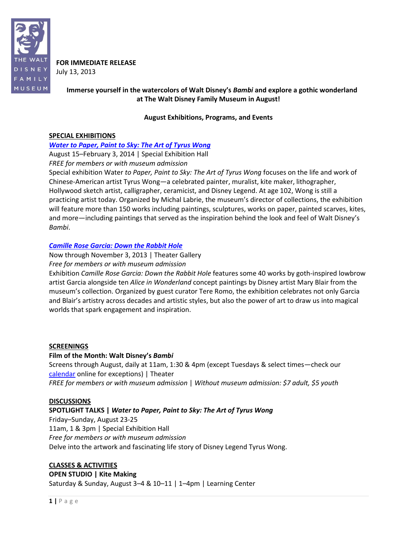

**FOR IMMEDIATE RELEASE** July 13, 2013

# **Immerse yourself in the watercolors of Walt Disney's** *Bambi* **and explore a gothic wonderland at The Walt Disney Family Museum in August!**

## **August Exhibitions, Programs, and Events**

## **SPECIAL EXHIBITIONS**

## *[Water to Paper, Paint to Sky: The Art of Tyrus Wong](http://www.waltdisney.org/wong)*

August 15–February 3, 2014 | Special Exhibition Hall *FREE for members or with museum admission*

Special exhibition Water *to Paper, Paint to Sky: The Art of Tyrus Wong* focuses on the life and work of Chinese-American artist Tyrus Wong—a celebrated painter, muralist, kite maker, lithographer, Hollywood sketch artist, calligrapher, ceramicist, and Disney Legend. At age 102, Wong is still a practicing artist today. Organized by Michal Labrie, the museum's director of collections, the exhibition will feature more than 150 works including paintings, sculptures, works on paper, painted scarves, kites, and more—including paintings that served as the inspiration behind the look and feel of Walt Disney's *Bambi*.

## *[Camille Rose Garcia: Down the Rabbit Hole](http://www.waltdisney.org/garcia)*

Now through November 3, 2013 | Theater Gallery *Free for members or with museum admission*

Exhibition *Camille Rose Garcia: Down the Rabbit Hole* features some 40 works by goth-inspired lowbrow artist Garcia alongside ten *Alice in Wonderland* concept paintings by Disney artist Mary Blair from the museum's collection. Organized by guest curator Tere Romo, the exhibition celebrates not only Garcia and Blair's artistry across decades and artistic styles, but also the power of art to draw us into magical worlds that spark engagement and inspiration.

## **SCREENINGS**

## **Film of the Month: Walt Disney's** *Bambi*

Screens through August, daily at 11am, 1:30 & 4pm (except Tuesdays & select times—check our [calendar](http://www.waltdisney.org/calendar) online for exceptions) | Theater *FREE for members or with museum admission* | *Without museum admission: \$7 adult, \$5 youth*

#### **DISCUSSIONS**

## **SPOTLIGHT TALKS |** *Water to Paper, Paint to Sky: The Art of Tyrus Wong*

Friday–Sunday, August 23-25 11am, 1 & 3pm | Special Exhibition Hall *Free for members or with museum admission* Delve into the artwork and fascinating life story of Disney Legend Tyrus Wong.

## **CLASSES & ACTIVITIES**

## **OPEN STUDIO | Kite Making**

Saturday & Sunday, August 3–4 & 10–11 | 1–4pm | Learning Center